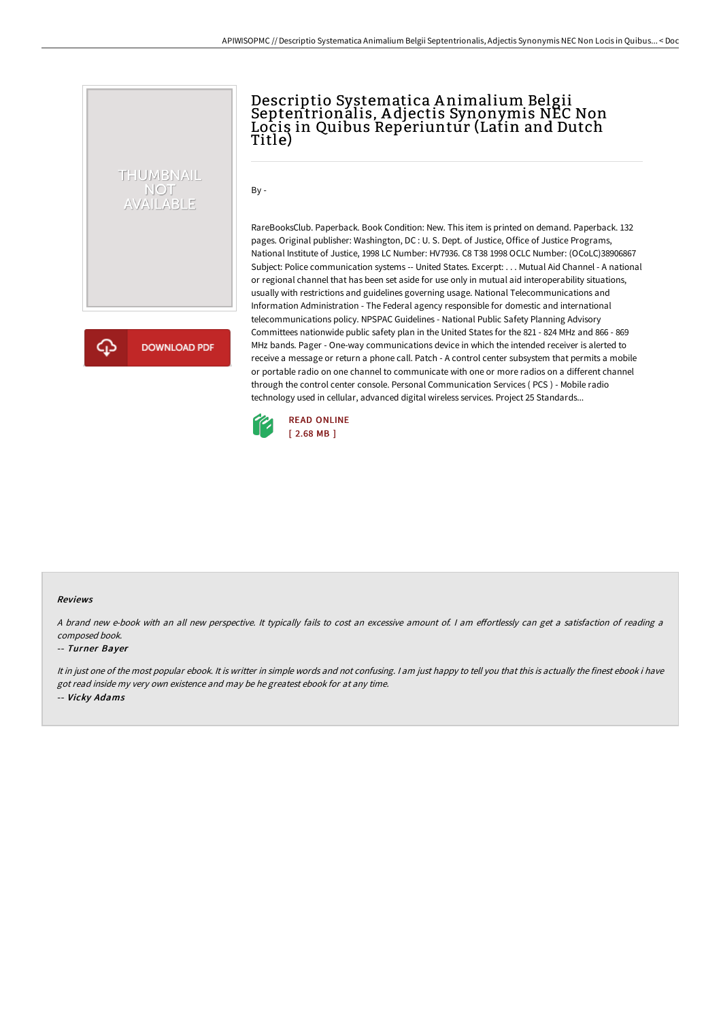# THUMBNAIL NOT<br>AVAILABLE

**DOWNLOAD PDF** 

Descriptio Systematica A nimalium Belgii Septentrionalis, A djectis Synonymis NEC Non Locis in Quibus Reperiuntur (Latin and Dutch Title)

By -

RareBooksClub. Paperback. Book Condition: New. This item is printed on demand. Paperback. 132 pages. Original publisher: Washington, DC : U. S. Dept. of Justice, Office of Justice Programs, National Institute of Justice, 1998 LC Number: HV7936. C8 T38 1998 OCLC Number: (OCoLC)38906867 Subject: Police communication systems -- United States. Excerpt: . . . Mutual Aid Channel - A national or regional channel that has been set aside for use only in mutual aid interoperability situations, usually with restrictions and guidelines governing usage. National Telecommunications and Information Administration - The Federal agency responsible for domestic and international telecommunications policy. NPSPAC Guidelines - National Public Safety Planning Advisory Committees nationwide public safety plan in the United States for the 821 - 824 MHz and 866 - 869 MHz bands. Pager - One-way communications device in which the intended receiver is alerted to receive a message or return a phone call. Patch - A control center subsystem that permits a mobile or portable radio on one channel to communicate with one or more radios on a different channel through the control center console. Personal Communication Services ( PCS ) - Mobile radio technology used in cellular, advanced digital wireless services. Project 25 Standards...



#### Reviews

A brand new e-book with an all new perspective. It typically fails to cost an excessive amount of. I am effortlessly can get a satisfaction of reading a composed book.

#### -- Turner Bayer

It in just one of the most popular ebook. It is writter in simple words and not confusing. <sup>I</sup> am just happy to tell you that this is actually the finest ebook i have got read inside my very own existence and may be he greatest ebook for at any time. -- Vicky Adams